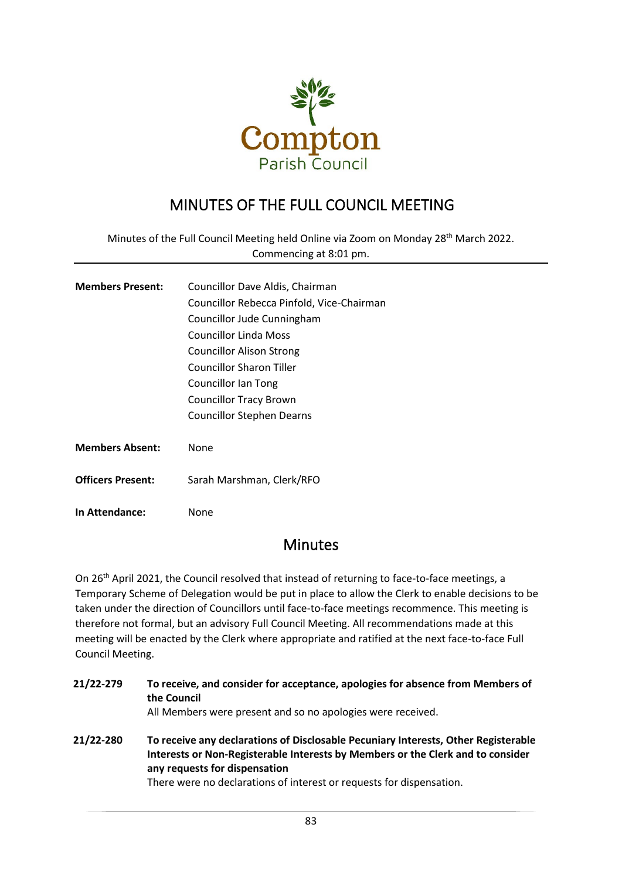

## MINUTES OF THE FULL COUNCIL MEETING

Minutes of the Full Council Meeting held Online via Zoom on Monday 28<sup>th</sup> March 2022. Commencing at 8:01 pm.

| <b>Members Present:</b>  | Councillor Dave Aldis, Chairman           |
|--------------------------|-------------------------------------------|
|                          | Councillor Rebecca Pinfold, Vice-Chairman |
|                          | Councillor Jude Cunningham                |
|                          | Councillor Linda Moss                     |
|                          | <b>Councillor Alison Strong</b>           |
|                          | <b>Councillor Sharon Tiller</b>           |
|                          | Councillor Ian Tong                       |
|                          | <b>Councillor Tracy Brown</b>             |
|                          | Councillor Stephen Dearns                 |
|                          |                                           |
| <b>Members Absent:</b>   | None                                      |
|                          |                                           |
| <b>Officers Present:</b> | Sarah Marshman, Clerk/RFO                 |
|                          |                                           |

**In Attendance:** None

## **Minutes**

On 26<sup>th</sup> April 2021, the Council resolved that instead of returning to face-to-face meetings, a Temporary Scheme of Delegation would be put in place to allow the Clerk to enable decisions to be taken under the direction of Councillors until face-to-face meetings recommence. This meeting is therefore not formal, but an advisory Full Council Meeting. All recommendations made at this meeting will be enacted by the Clerk where appropriate and ratified at the next face-to-face Full Council Meeting.

| 21/22-279 | To receive, and consider for acceptance, apologies for absence from Members of<br>the Council<br>All Members were present and so no apologies were received.                                           |
|-----------|--------------------------------------------------------------------------------------------------------------------------------------------------------------------------------------------------------|
| 21/22-280 | To receive any declarations of Disclosable Pecuniary Interests, Other Registerable<br>Interests or Non-Registerable Interests by Members or the Clerk and to consider<br>any requests for dispensation |

There were no declarations of interest or requests for dispensation.